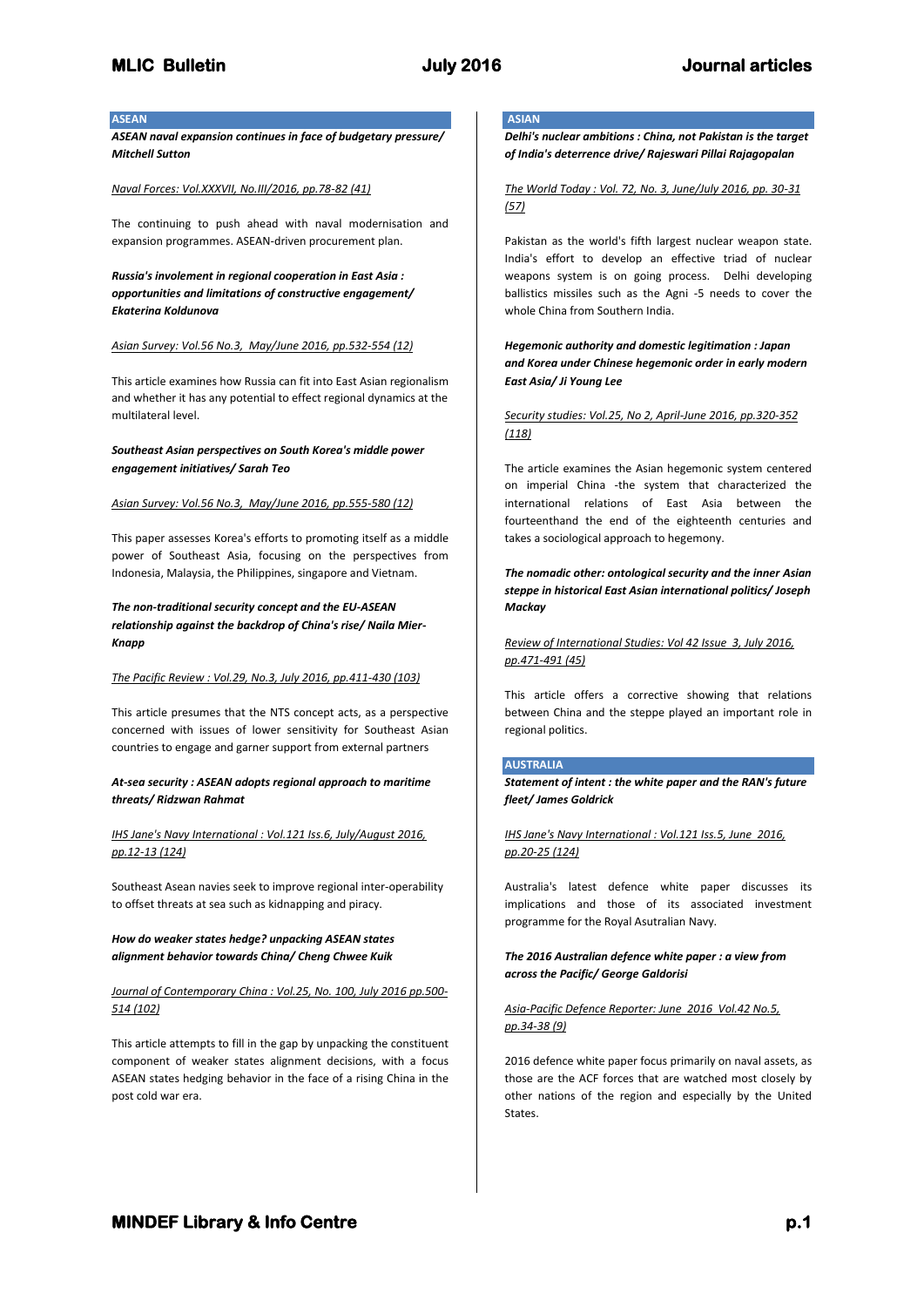## **ASEAN**

*ASEAN naval expansion continues in face of budgetary pressure/ Mitchell Sutton*

#### *Naval Forces: Vol.XXXVII, No.III/2016, pp.78-82 (41)*

The continuing to push ahead with naval modernisation and expansion programmes. ASEAN-driven procurement plan.

*Russia's involement in regional cooperation in East Asia : opportunities and limitations of constructive engagement/ Ekaterina Koldunova*

## *Asian Survey: Vol.56 No.3, May/June 2016, pp.532-554 (12)*

This article examines how Russia can fit into East Asian regionalism and whether it has any potential to effect regional dynamics at the multilateral level.

## *Southeast Asian perspectives on South Korea's middle power engagement initiatives/ Sarah Teo*

#### *Asian Survey: Vol.56 No.3, May/June 2016, pp.555-580 (12)*

This paper assesses Korea's efforts to promoting itself as a middle power of Southeast Asia, focusing on the perspectives from Indonesia, Malaysia, the Philippines, singapore and Vietnam.

## *The non-traditional security concept and the EU-ASEAN relationship against the backdrop of China's rise/ Naila Mier-Knapp*

#### *The Pacific Review : Vol.29, No.3, July 2016, pp.411-430 (103)*

This article presumes that the NTS concept acts, as a perspective concerned with issues of lower sensitivity for Southeast Asian countries to engage and garner support from external partners

## *At-sea security : ASEAN adopts regional approach to maritime threats/ Ridzwan Rahmat*

## *IHS Jane's Navy International : Vol.121 Iss.6, July/August 2016, pp.12-13 (124)*

Southeast Asean navies seek to improve regional inter-operability to offset threats at sea such as kidnapping and piracy.

## *How do weaker states hedge? unpacking ASEAN states alignment behavior towards China/ Cheng Chwee Kuik*

## *Journal of Contemporary China : Vol.25, No. 100, July 2016 pp.500- 514 (102)*

This article attempts to fill in the gap by unpacking the constituent component of weaker states alignment decisions, with a focus ASEAN states hedging behavior in the face of a rising China in the post cold war era.

# **ASIAN**

*Delhi's nuclear ambitions : China, not Pakistan is the target of India's deterrence drive/ Rajeswari Pillai Rajagopalan*

## *The World Today : Vol. 72, No. 3, June/July 2016, pp. 30-31 (57)*

Pakistan as the world's fifth largest nuclear weapon state. India's effort to develop an effective triad of nuclear weapons system is on going process. Delhi developing ballistics missiles such as the Agni -5 needs to cover the whole China from Southern India.

*Hegemonic authority and domestic legitimation : Japan and Korea under Chinese hegemonic order in early modern East Asia/ Ji Young Lee*

*Security studies: Vol.25, No 2, April-June 2016, pp.320-352 (118)*

The article examines the Asian hegemonic system centered on imperial China -the system that characterized the international relations of East Asia between the fourteenthand the end of the eighteenth centuries and takes a sociological approach to hegemony.

*The nomadic other: ontological security and the inner Asian steppe in historical East Asian international politics/ Joseph Mackay*

*Review of International Studies: Vol 42 Issue 3, July 2016, pp.471-491 (45)*

This article offers a corrective showing that relations between China and the steppe played an important role in regional politics.

## **AUSTRALIA**

*Statement of intent : the white paper and the RAN's future fleet/ James Goldrick*

*IHS Jane's Navy International : Vol.121 Iss.5, June 2016, pp.20-25 (124)*

Australia's latest defence white paper discusses its implications and those of its associated investment programme for the Royal Asutralian Navy.

## *The 2016 Australian defence white paper : a view from across the Pacific/ George Galdorisi*

## *Asia-Pacific Defence Reporter: June 2016 Vol.42 No.5, pp.34-38 (9)*

2016 defence white paper focus primarily on naval assets, as those are the ACF forces that are watched most closely by other nations of the region and especially by the United States.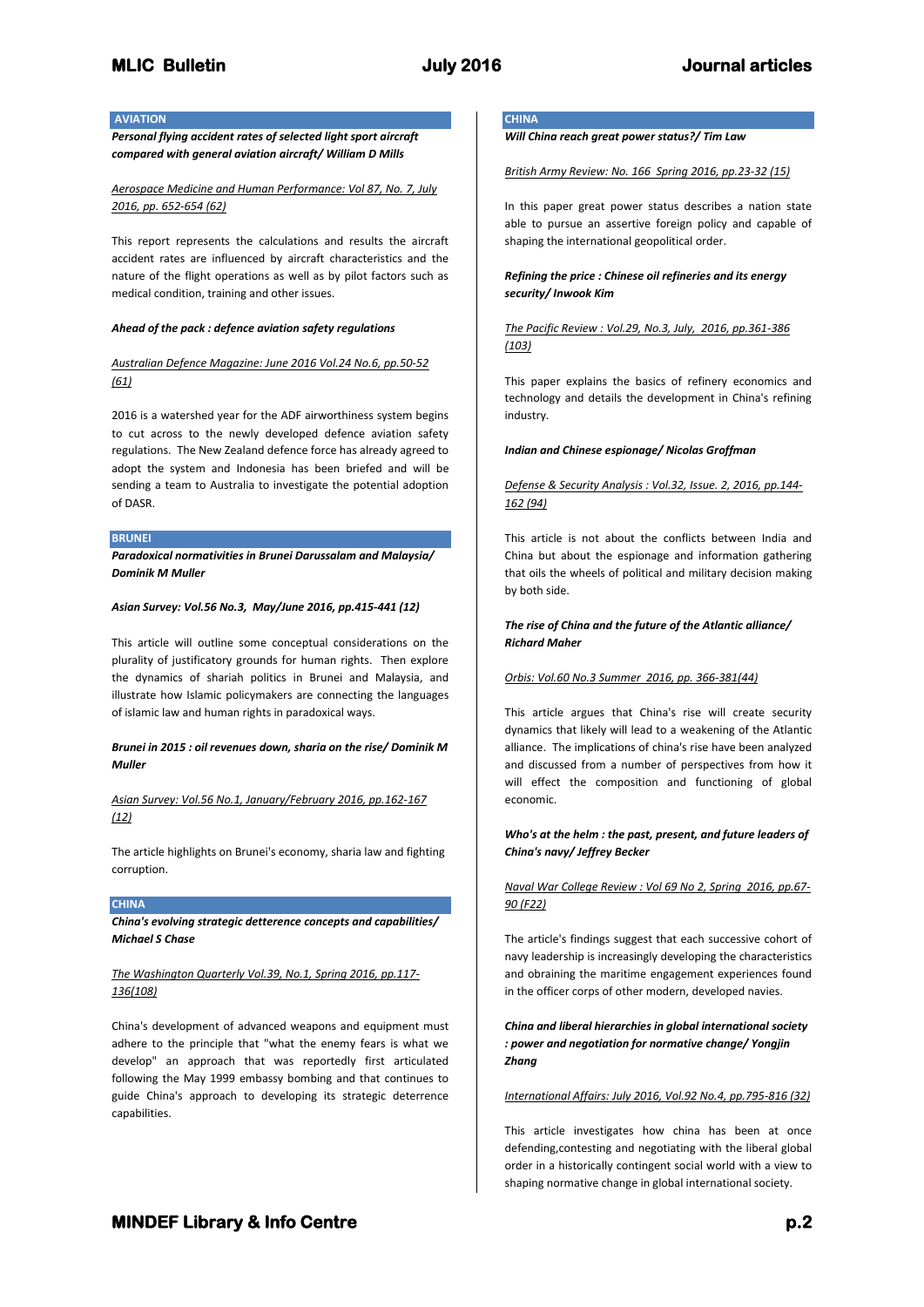## **AVIATION**

*Personal flying accident rates of selected light sport aircraft compared with general aviation aircraft/ William D Mills*

*Aerospace Medicine and Human Performance: Vol 87, No. 7, July 2016, pp. 652-654 (62)*

This report represents the calculations and results the aircraft accident rates are influenced by aircraft characteristics and the nature of the flight operations as well as by pilot factors such as medical condition, training and other issues.

## *Ahead of the pack : defence aviation safety regulations*

## *Australian Defence Magazine: June 2016 Vol.24 No.6, pp.50-52 (61)*

2016 is a watershed year for the ADF airworthiness system begins to cut across to the newly developed defence aviation safety regulations. The New Zealand defence force has already agreed to adopt the system and Indonesia has been briefed and will be sending a team to Australia to investigate the potential adoption of DASR.

#### **BRUNEI**

*Paradoxical normativities in Brunei Darussalam and Malaysia/ Dominik M Muller*

#### *Asian Survey: Vol.56 No.3, May/June 2016, pp.415-441 (12)*

This article will outline some conceptual considerations on the plurality of justificatory grounds for human rights. Then explore the dynamics of shariah politics in Brunei and Malaysia, and illustrate how Islamic policymakers are connecting the languages of islamic law and human rights in paradoxical ways.

## *Brunei in 2015 : oil revenues down, sharia on the rise/ Dominik M Muller*

*Asian Survey: Vol.56 No.1, January/February 2016, pp.162-167 (12)*

The article highlights on Brunei's economy, sharia law and fighting corruption.

## **CHINA**

*China's evolving strategic detterence concepts and capabilities/ Michael S Chase*

## *The Washington Quarterly Vol.39, No.1, Spring 2016, pp.117- 136(108)*

China's development of advanced weapons and equipment must adhere to the principle that "what the enemy fears is what we develop" an approach that was reportedly first articulated following the May 1999 embassy bombing and that continues to guide China's approach to developing its strategic deterrence capabilities.

# **CHINA**

*Will China reach great power status?/ Tim Law*

*British Army Review: No. 166 Spring 2016, pp.23-32 (15)*

In this paper great power status describes a nation state able to pursue an assertive foreign policy and capable of shaping the international geopolitical order.

## *Refining the price : Chinese oil refineries and its energy security/ Inwook Kim*

## *The Pacific Review : Vol.29, No.3, July, 2016, pp.361-386 (103)*

This paper explains the basics of refinery economics and technology and details the development in China's refining industry.

#### *Indian and Chinese espionage/ Nicolas Groffman*

## *Defense & Security Analysis : Vol.32, Issue. 2, 2016, pp.144- 162 (94)*

This article is not about the conflicts between India and China but about the espionage and information gathering that oils the wheels of political and military decision making by both side.

## *The rise of China and the future of the Atlantic alliance/ Richard Maher*

#### *Orbis: Vol.60 No.3 Summer 2016, pp. 366-381(44)*

This article argues that China's rise will create security dynamics that likely will lead to a weakening of the Atlantic alliance. The implications of china's rise have been analyzed and discussed from a number of perspectives from how it will effect the composition and functioning of global economic.

## *Who's at the helm : the past, present, and future leaders of China's navy/ Jeffrey Becker*

## *Naval War College Review : Vol 69 No 2, Spring 2016, pp.67- 90 (F22)*

The article's findings suggest that each successive cohort of navy leadership is increasingly developing the characteristics and obraining the maritime engagement experiences found in the officer corps of other modern, developed navies.

## *China and liberal hierarchies in global international society : power and negotiation for normative change/ Yongjin Zhang*

## *International Affairs: July 2016, Vol.92 No.4, pp.795-816 (32)*

This article investigates how china has been at once defending,contesting and negotiating with the liberal global order in a historically contingent social world with a view to shaping normative change in global international society.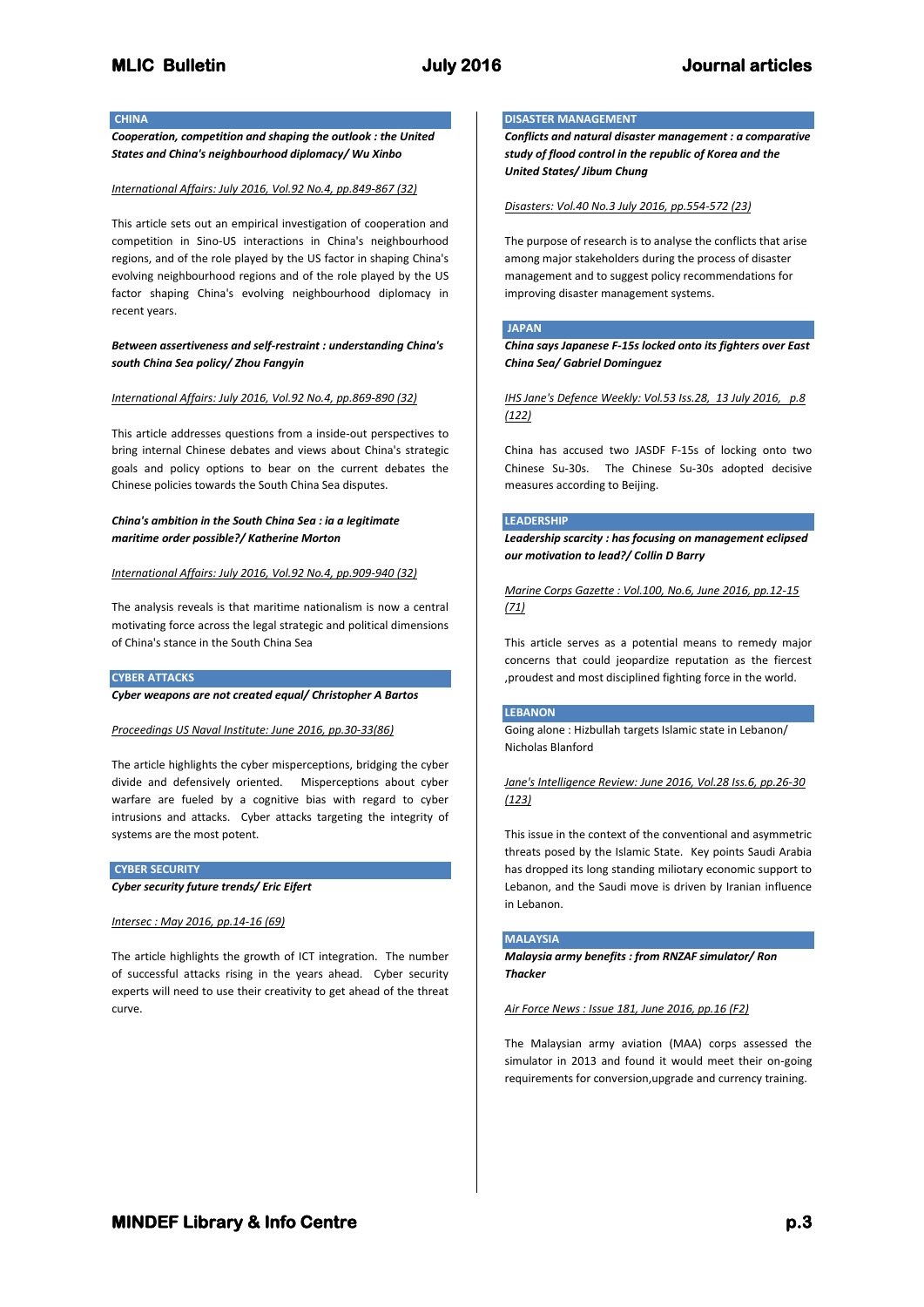**CHINA** 

*Cooperation, competition and shaping the outlook : the United States and China's neighbourhood diplomacy/ Wu Xinbo*

## *International Affairs: July 2016, Vol.92 No.4, pp.849-867 (32)*

This article sets out an empirical investigation of cooperation and competition in Sino-US interactions in China's neighbourhood regions, and of the role played by the US factor in shaping China's evolving neighbourhood regions and of the role played by the US factor shaping China's evolving neighbourhood diplomacy in recent years.

*Between assertiveness and self-restraint : understanding China's south China Sea policy/ Zhou Fangyin*

#### *International Affairs: July 2016, Vol.92 No.4, pp.869-890 (32)*

This article addresses questions from a inside-out perspectives to bring internal Chinese debates and views about China's strategic goals and policy options to bear on the current debates the Chinese policies towards the South China Sea disputes.

## *China's ambition in the South China Sea : ia a legitimate maritime order possible?/ Katherine Morton*

#### *International Affairs: July 2016, Vol.92 No.4, pp.909-940 (32)*

The analysis reveals is that maritime nationalism is now a central motivating force across the legal strategic and political dimensions of China's stance in the South China Sea

## **CYBER ATTACKS**

*Cyber weapons are not created equal/ Christopher A Bartos*

#### *Proceedings US Naval Institute: June 2016, pp.30-33(86)*

The article highlights the cyber misperceptions, bridging the cyber divide and defensively oriented. Misperceptions about cyber warfare are fueled by a cognitive bias with regard to cyber intrusions and attacks. Cyber attacks targeting the integrity of systems are the most potent.

#### **CYBER SECURITY**

*Cyber security future trends/ Eric Eifert*

#### *Intersec : May 2016, pp.14-16 (69)*

The article highlights the growth of ICT integration. The number of successful attacks rising in the years ahead. Cyber security experts will need to use their creativity to get ahead of the threat curve.

## **DISASTER MANAGEMENT**

*Conflicts and natural disaster management : a comparative study of flood control in the republic of Korea and the United States/ Jibum Chung*

#### *Disasters: Vol.40 No.3 July 2016, pp.554-572 (23)*

The purpose of research is to analyse the conflicts that arise among major stakeholders during the process of disaster management and to suggest policy recommendations for improving disaster management systems.

## **JAPAN**

*China says Japanese F-15s locked onto its fighters over East China Sea/ Gabriel Dominguez*

*IHS Jane's Defence Weekly: Vol.53 Iss.28, 13 July 2016, p.8 (122)*

China has accused two JASDF F-15s of locking onto two Chinese Su-30s. The Chinese Su-30s adopted decisive measures according to Beijing.

## **LEADERSHIP**

*Leadership scarcity : has focusing on management eclipsed our motivation to lead?/ Collin D Barry*

*Marine Corps Gazette : Vol.100, No.6, June 2016, pp.12-15 (71)*

This article serves as a potential means to remedy major concerns that could jeopardize reputation as the fiercest ,proudest and most disciplined fighting force in the world.

## **LEBANON**

Going alone : Hizbullah targets Islamic state in Lebanon/ Nicholas Blanford

*Jane's Intelligence Review: June 2016, Vol.28 Iss.6, pp.26-30 (123)*

This issue in the context of the conventional and asymmetric threats posed by the Islamic State. Key points Saudi Arabia has dropped its long standing miliotary economic support to Lebanon, and the Saudi move is driven by Iranian influence in Lebanon.

#### **MALAYSIA**

## *Malaysia army benefits : from RNZAF simulator/ Ron Thacker*

*Air Force News : Issue 181, June 2016, pp.16 (F2)*

The Malaysian army aviation (MAA) corps assessed the simulator in 2013 and found it would meet their on-going requirements for conversion,upgrade and currency training.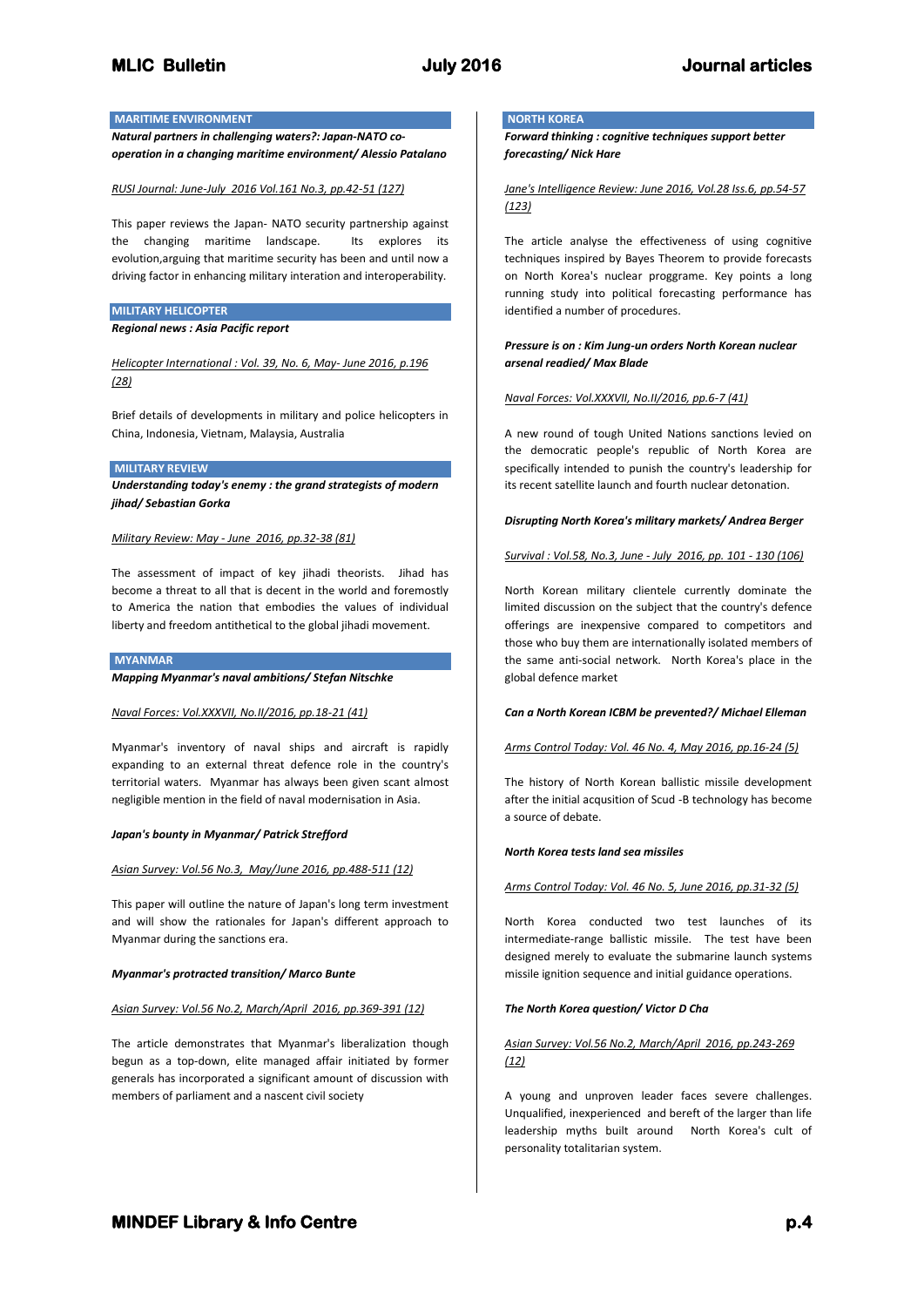## **MARITIME ENVIRONMENT**

*Natural partners in challenging waters?: Japan-NATO cooperation in a changing maritime environment/ Alessio Patalano*

#### *RUSI Journal: June-July 2016 Vol.161 No.3, pp.42-51 (127)*

This paper reviews the Japan- NATO security partnership against the changing maritime landscape. Its explores its evolution,arguing that maritime security has been and until now a driving factor in enhancing military interation and interoperability.

## **MILITARY HELICOPTER**

*Regional news : Asia Pacific report*

*Helicopter International : Vol. 39, No. 6, May- June 2016, p.196 (28)*

Brief details of developments in military and police helicopters in China, Indonesia, Vietnam, Malaysia, Australia

## **MILITARY REVIEW**

*Understanding today's enemy : the grand strategists of modern jihad/ Sebastian Gorka*

*Military Review: May - June 2016, pp.32-38 (81)*

The assessment of impact of key jihadi theorists. Jihad has become a threat to all that is decent in the world and foremostly to America the nation that embodies the values of individual liberty and freedom antithetical to the global jihadi movement.

#### **MYANMAR**

*Mapping Myanmar's naval ambitions/ Stefan Nitschke*

#### *Naval Forces: Vol.XXXVII, No.II/2016, pp.18-21 (41)*

Myanmar's inventory of naval ships and aircraft is rapidly expanding to an external threat defence role in the country's territorial waters. Myanmar has always been given scant almost negligible mention in the field of naval modernisation in Asia.

#### *Japan's bounty in Myanmar/ Patrick Strefford*

#### *Asian Survey: Vol.56 No.3, May/June 2016, pp.488-511 (12)*

This paper will outline the nature of Japan's long term investment and will show the rationales for Japan's different approach to Myanmar during the sanctions era.

#### *Myanmar's protracted transition/ Marco Bunte*

## *Asian Survey: Vol.56 No.2, March/April 2016, pp.369-391 (12)*

The article demonstrates that Myanmar's liberalization though begun as a top-down, elite managed affair initiated by former generals has incorporated a significant amount of discussion with members of parliament and a nascent civil society

## **NORTH KOREA**

*Forward thinking : cognitive techniques support better forecasting/ Nick Hare*

*Jane's Intelligence Review: June 2016, Vol.28 Iss.6, pp.54-57 (123)*

The article analyse the effectiveness of using cognitive techniques inspired by Bayes Theorem to provide forecasts on North Korea's nuclear proggrame. Key points a long running study into political forecasting performance has identified a number of procedures.

## *Pressure is on : Kim Jung-un orders North Korean nuclear arsenal readied/ Max Blade*

#### *Naval Forces: Vol.XXXVII, No.II/2016, pp.6-7 (41)*

A new round of tough United Nations sanctions levied on the democratic people's republic of North Korea are specifically intended to punish the country's leadership for its recent satellite launch and fourth nuclear detonation.

#### *Disrupting North Korea's military markets/ Andrea Berger*

## *Survival : Vol.58, No.3, June - July 2016, pp. 101 - 130 (106)*

North Korean military clientele currently dominate the limited discussion on the subject that the country's defence offerings are inexpensive compared to competitors and those who buy them are internationally isolated members of the same anti-social network. North Korea's place in the global defence market

#### *Can a North Korean ICBM be prevented?/ Michael Elleman*

#### *Arms Control Today: Vol. 46 No. 4, May 2016, pp.16-24 (5)*

The history of North Korean ballistic missile development after the initial acqusition of Scud -B technology has become a source of debate.

#### *North Korea tests land sea missiles*

## *Arms Control Today: Vol. 46 No. 5, June 2016, pp.31-32 (5)*

North Korea conducted two test launches of its intermediate-range ballistic missile. The test have been designed merely to evaluate the submarine launch systems missile ignition sequence and initial guidance operations.

#### *The North Korea question/ Victor D Cha*

## *Asian Survey: Vol.56 No.2, March/April 2016, pp.243-269 (12)*

A young and unproven leader faces severe challenges. Unqualified, inexperienced and bereft of the larger than life leadership myths built around North Korea's cult of personality totalitarian system.